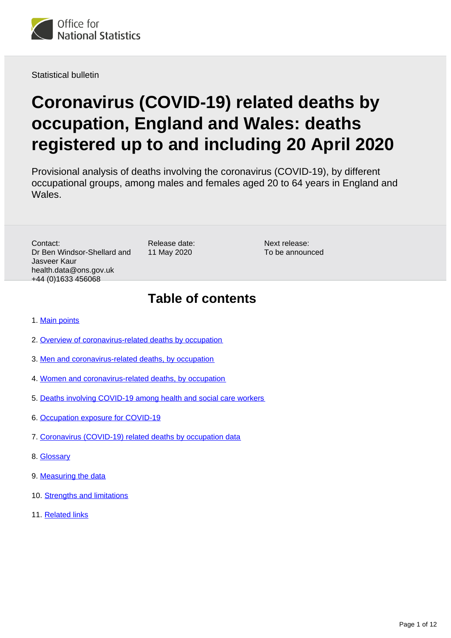<span id="page-0-0"></span>

Statistical bulletin

# **Coronavirus (COVID-19) related deaths by occupation, England and Wales: deaths registered up to and including 20 April 2020**

Provisional analysis of deaths involving the coronavirus (COVID-19), by different occupational groups, among males and females aged 20 to 64 years in England and Wales.

Contact: Dr Ben Windsor-Shellard and Jasveer Kaur health.data@ons.gov.uk +44 (0)1633 456068

Release date: 11 May 2020

Next release: To be announced

## **Table of contents**

- 1. [Main points](#page-1-0)
- 2. [Overview of coronavirus-related deaths by occupation](#page-1-1)
- 3. [Men and coronavirus-related deaths, by occupation](#page-2-0)
- 4. [Women and coronavirus-related deaths, by occupation](#page-5-0)
- 5. [Deaths involving COVID-19 among health and social care workers](#page-6-0)
- 6. [Occupation exposure for COVID-19](#page-7-0)
- 7. [Coronavirus \(COVID-19\) related deaths by occupation data](#page-8-0)
- 8. [Glossary](#page-8-1)
- 9. [Measuring the data](#page-8-2)
- 10. [Strengths and limitations](#page-9-0)
- 11. [Related links](#page-11-0)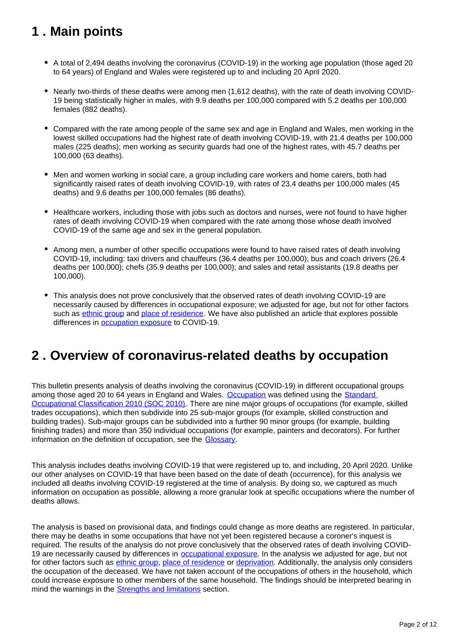## <span id="page-1-0"></span>**1 . Main points**

- A total of 2,494 deaths involving the coronavirus (COVID-19) in the working age population (those aged 20 to 64 years) of England and Wales were registered up to and including 20 April 2020.
- Nearly two-thirds of these deaths were among men (1,612 deaths), with the rate of death involving COVID-19 being statistically higher in males, with 9.9 deaths per 100,000 compared with 5.2 deaths per 100,000 females (882 deaths).
- Compared with the rate among people of the same sex and age in England and Wales, men working in the lowest skilled occupations had the highest rate of death involving COVID-19, with 21.4 deaths per 100,000 males (225 deaths); men working as security guards had one of the highest rates, with 45.7 deaths per 100,000 (63 deaths).
- Men and women working in social care, a group including care workers and home carers, both had significantly raised rates of death involving COVID-19, with rates of 23.4 deaths per 100,000 males (45 deaths) and 9.6 deaths per 100,000 females (86 deaths).
- Healthcare workers, including those with jobs such as doctors and nurses, were not found to have higher rates of death involving COVID-19 when compared with the rate among those whose death involved COVID-19 of the same age and sex in the general population.
- Among men, a number of other specific occupations were found to have raised rates of death involving COVID-19, including: taxi drivers and chauffeurs (36.4 deaths per 100,000); bus and coach drivers (26.4 deaths per 100,000); chefs (35.9 deaths per 100,000); and sales and retail assistants (19.8 deaths per 100,000).
- This analysis does not prove conclusively that the observed rates of death involving COVID-19 are necessarily caused by differences in occupational exposure; we adjusted for age, but not for other factors such as [ethnic group](https://www.ons.gov.uk/peoplepopulationandcommunity/birthsdeathsandmarriages/deaths/articles/coronavirusrelateddeathsbyethnicgroupenglandandwales/2march2020to10april2020) and [place of residence](https://www.ons.gov.uk/peoplepopulationandcommunity/birthsdeathsandmarriages/deaths/bulletins/deathsinvolvingcovid19bylocalareasanddeprivation/deathsoccurringbetween1marchand17april). We have also published an article that explores possible differences in [occupation exposure](https://www.ons.gov.uk/releases/whichoccupationshavethehighestpotentialexposuretothecoronaviruscovid19) to COVID-19.

## <span id="page-1-1"></span>**2 . Overview of coronavirus-related deaths by occupation**

This bulletin presents analysis of deaths involving the coronavirus (COVID-19) in different occupational groups among those aged 20 to 64 years in England and Wales. [Occupation](https://www.ons.gov.uk/peoplepopulationandcommunity/healthandsocialcare/causesofdeath/bulletins/coronaviruscovid19relateddeathsbyoccupationenglandandwales/deathsregistereduptoandincluding20april2020#glossary) was defined using the Standard [Occupational Classification 2010 \(SOC 2010\)](https://www.ons.gov.uk/methodology/classificationsandstandards/standardoccupationalclassificationsoc/soc2010/soc2010volume1structureanddescriptionsofunitgroups). There are nine major groups of occupations (for example, skilled trades occupations), which then subdivide into 25 sub-major groups (for example, skilled construction and building trades). Sub-major groups can be subdivided into a further 90 minor groups (for example, building finishing trades) and more than 350 individual occupations (for example, painters and decorators). For further information on the definition of occupation, see the [Glossary.](https://www.ons.gov.uk/peoplepopulationandcommunity/healthandsocialcare/causesofdeath/bulletins/coronaviruscovid19relateddeathsbyoccupationenglandandwales/deathsregistereduptoandincluding20april2020#glossary)

This analysis includes deaths involving COVID-19 that were registered up to, and including, 20 April 2020. Unlike our other analyses on COVID-19 that have been based on the date of death (occurrence), for this analysis we included all deaths involving COVID-19 registered at the time of analysis. By doing so, we captured as much information on occupation as possible, allowing a more granular look at specific occupations where the number of deaths allows.

The analysis is based on provisional data, and findings could change as more deaths are registered. In particular, there may be deaths in some occupations that have not yet been registered because a coroner's inquest is required. The results of the analysis do not prove conclusively that the observed rates of death involving COVID19 are necessarily caused by differences in [occupational exposure](https://www.ons.gov.uk/releases/whichoccupationshavethehighestpotentialexposuretothecoronaviruscovid19). In the analysis we adjusted for age, but not for other factors such as [ethnic group](https://www.ons.gov.uk/peoplepopulationandcommunity/birthsdeathsandmarriages/deaths/articles/coronavirusrelateddeathsbyethnicgroupenglandandwales/2march2020to10april2020), [place of residence](https://www.ons.gov.uk/peoplepopulationandcommunity/birthsdeathsandmarriages/deaths/bulletins/deathsinvolvingcovid19bylocalareasanddeprivation/deathsoccurringbetween1marchand17april) or [deprivation](https://www.ons.gov.uk/peoplepopulationandcommunity/birthsdeathsandmarriages/deaths/bulletins/deathsinvolvingcovid19bylocalareasanddeprivation/deathsoccurringbetween1marchand17april). Additionally, the analysis only considers the occupation of the deceased. We have not taken account of the occupations of others in the household, which could increase exposure to other members of the same household. The findings should be interpreted bearing in mind the warnings in the **[Strengths and limitations](https://www.ons.gov.uk/peoplepopulationandcommunity/healthandsocialcare/causesofdeath/bulletins/coronaviruscovid19relateddeathsbyoccupationenglandandwales/deathsregistereduptoandincluding20april2020#strengths-and-limitations)** section.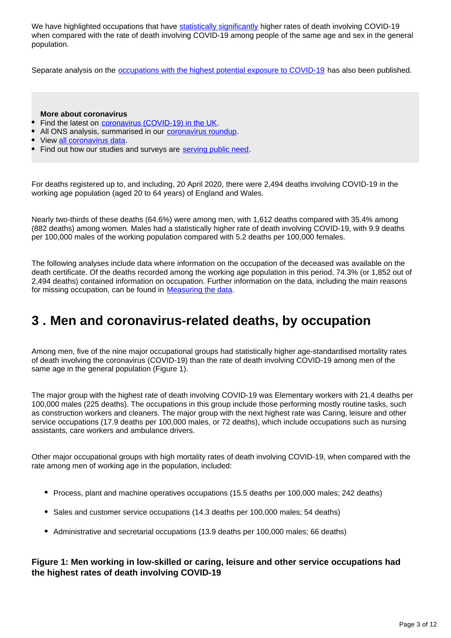We have highlighted occupations that have [statistically significantly](https://www.ons.gov.uk/methodology/methodologytopicsandstatisticalconcepts/uncertaintyandhowwemeasureit#statistical-significance) higher rates of death involving COVID-19 when compared with the rate of death involving COVID-19 among people of the same age and sex in the general population.

Separate analysis on the **occupations with the highest potential exposure to COVID-19** has also been published.

#### **More about coronavirus**

- Find the latest on [coronavirus \(COVID-19\) in the UK](https://www.ons.gov.uk/peoplepopulationandcommunity/healthandsocialcare/conditionsanddiseases).
- All ONS analysis, summarised in our [coronavirus roundup.](https://www.ons.gov.uk/peoplepopulationandcommunity/healthandsocialcare/conditionsanddiseases/articles/coronaviruscovid19roundup/2020-03-26)
- View [all coronavirus data.](https://www.ons.gov.uk/peoplepopulationandcommunity/healthandsocialcare/conditionsanddiseases/datalist)
- Find out how our studies and surveys are [serving public need.](http://ons.gov.uk/surveys)

For deaths registered up to, and including, 20 April 2020, there were 2,494 deaths involving COVID-19 in the working age population (aged 20 to 64 years) of England and Wales.

Nearly two-thirds of these deaths (64.6%) were among men, with 1,612 deaths compared with 35.4% among (882 deaths) among women. Males had a statistically higher rate of death involving COVID-19, with 9.9 deaths per 100,000 males of the working population compared with 5.2 deaths per 100,000 females.

The following analyses include data where information on the occupation of the deceased was available on the death certificate. Of the deaths recorded among the working age population in this period, 74.3% (or 1,852 out of 2,494 deaths) contained information on occupation. Further information on the data, including the main reasons for missing occupation, can be found in [Measuring the data.](https://www.ons.gov.uk/peoplepopulationandcommunity/healthandsocialcare/causesofdeath/bulletins/coronaviruscovid19relateddeathsbyoccupationenglandandwales/deathsregistereduptoandincluding20april2020#measuring-the-data)

### <span id="page-2-0"></span>**3 . Men and coronavirus-related deaths, by occupation**

Among men, five of the nine major occupational groups had statistically higher age-standardised mortality rates of death involving the coronavirus (COVID-19) than the rate of death involving COVID-19 among men of the same age in the general population (Figure 1).

The major group with the highest rate of death involving COVID-19 was Elementary workers with 21.4 deaths per 100,000 males (225 deaths). The occupations in this group include those performing mostly routine tasks, such as construction workers and cleaners. The major group with the next highest rate was Caring, leisure and other service occupations (17.9 deaths per 100,000 males, or 72 deaths), which include occupations such as nursing assistants, care workers and ambulance drivers.

Other major occupational groups with high mortality rates of death involving COVID-19, when compared with the rate among men of working age in the population, included:

- Process, plant and machine operatives occupations (15.5 deaths per 100,000 males; 242 deaths)
- Sales and customer service occupations (14.3 deaths per 100,000 males; 54 deaths)
- Administrative and secretarial occupations (13.9 deaths per 100,000 males; 66 deaths)

#### **Figure 1: Men working in low-skilled or caring, leisure and other service occupations had the highest rates of death involving COVID-19**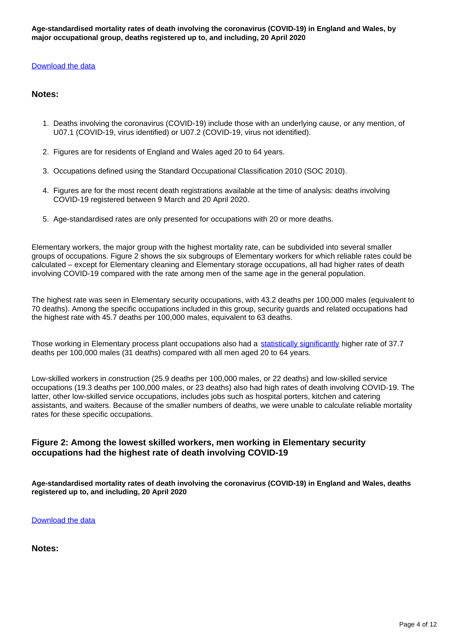#### [Download the data](https://www.ons.gov.uk/visualisations/dvc814/chart1/datadownload.xlsx)

#### **Notes:**

- 1. Deaths involving the coronavirus (COVID-19) include those with an underlying cause, or any mention, of U07.1 (COVID-19, virus identified) or U07.2 (COVID-19, virus not identified).
- 2. Figures are for residents of England and Wales aged 20 to 64 years.
- 3. Occupations defined using the Standard Occupational Classification 2010 (SOC 2010).
- 4. Figures are for the most recent death registrations available at the time of analysis: deaths involving COVID-19 registered between 9 March and 20 April 2020.
- 5. Age-standardised rates are only presented for occupations with 20 or more deaths.

Elementary workers, the major group with the highest mortality rate, can be subdivided into several smaller groups of occupations. Figure 2 shows the six subgroups of Elementary workers for which reliable rates could be calculated – except for Elementary cleaning and Elementary storage occupations, all had higher rates of death involving COVID-19 compared with the rate among men of the same age in the general population.

The highest rate was seen in Elementary security occupations, with 43.2 deaths per 100,000 males (equivalent to 70 deaths). Among the specific occupations included in this group, security guards and related occupations had the highest rate with 45.7 deaths per 100,000 males, equivalent to 63 deaths.

Those working in Elementary process plant occupations also had a [statistically significantly](https://www.ons.gov.uk/methodology/methodologytopicsandstatisticalconcepts/uncertaintyandhowwemeasureit#statistical-significance) higher rate of 37.7 deaths per 100,000 males (31 deaths) compared with all men aged 20 to 64 years.

Low-skilled workers in construction (25.9 deaths per 100,000 males, or 22 deaths) and low-skilled service occupations (19.3 deaths per 100,000 males, or 23 deaths) also had high rates of death involving COVID-19. The latter, other low-skilled service occupations, includes jobs such as hospital porters, kitchen and catering assistants, and waiters. Because of the smaller numbers of deaths, we were unable to calculate reliable mortality rates for these specific occupations.

#### **Figure 2: Among the lowest skilled workers, men working in Elementary security occupations had the highest rate of death involving COVID-19**

**Age-standardised mortality rates of death involving the coronavirus (COVID-19) in England and Wales, deaths registered up to, and including, 20 April 2020**

[Download the data](https://www.ons.gov.uk/visualisations/dvc814/chart2/datadownload.xlsx)

**Notes:**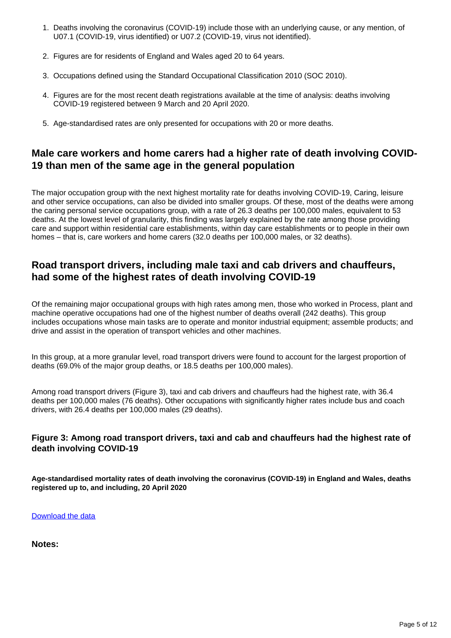- 1. Deaths involving the coronavirus (COVID-19) include those with an underlying cause, or any mention, of U07.1 (COVID-19, virus identified) or U07.2 (COVID-19, virus not identified).
- 2. Figures are for residents of England and Wales aged 20 to 64 years.
- 3. Occupations defined using the Standard Occupational Classification 2010 (SOC 2010).
- 4. Figures are for the most recent death registrations available at the time of analysis: deaths involving COVID-19 registered between 9 March and 20 April 2020.
- 5. Age-standardised rates are only presented for occupations with 20 or more deaths.

### **Male care workers and home carers had a higher rate of death involving COVID-19 than men of the same age in the general population**

The major occupation group with the next highest mortality rate for deaths involving COVID-19, Caring, leisure and other service occupations, can also be divided into smaller groups. Of these, most of the deaths were among the caring personal service occupations group, with a rate of 26.3 deaths per 100,000 males, equivalent to 53 deaths. At the lowest level of granularity, this finding was largely explained by the rate among those providing care and support within residential care establishments, within day care establishments or to people in their own homes – that is, care workers and home carers (32.0 deaths per 100,000 males, or 32 deaths).

### **Road transport drivers, including male taxi and cab drivers and chauffeurs, had some of the highest rates of death involving COVID-19**

Of the remaining major occupational groups with high rates among men, those who worked in Process, plant and machine operative occupations had one of the highest number of deaths overall (242 deaths). This group includes occupations whose main tasks are to operate and monitor industrial equipment; assemble products; and drive and assist in the operation of transport vehicles and other machines.

In this group, at a more granular level, road transport drivers were found to account for the largest proportion of deaths (69.0% of the major group deaths, or 18.5 deaths per 100,000 males).

Among road transport drivers (Figure 3), taxi and cab drivers and chauffeurs had the highest rate, with 36.4 deaths per 100,000 males (76 deaths). Other occupations with significantly higher rates include bus and coach drivers, with 26.4 deaths per 100,000 males (29 deaths).

#### **Figure 3: Among road transport drivers, taxi and cab and chauffeurs had the highest rate of death involving COVID-19**

**Age-standardised mortality rates of death involving the coronavirus (COVID-19) in England and Wales, deaths registered up to, and including, 20 April 2020**

[Download the data](https://www.ons.gov.uk/visualisations/dvc814/chart3/datadownload.xlsx)

**Notes:**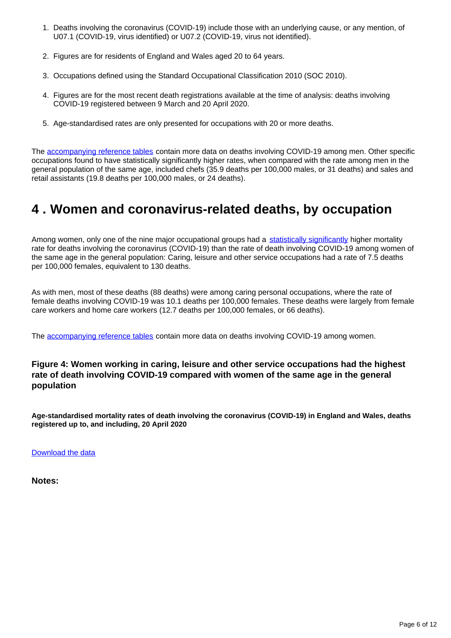- 1. Deaths involving the coronavirus (COVID-19) include those with an underlying cause, or any mention, of U07.1 (COVID-19, virus identified) or U07.2 (COVID-19, virus not identified).
- 2. Figures are for residents of England and Wales aged 20 to 64 years.
- 3. Occupations defined using the Standard Occupational Classification 2010 (SOC 2010).
- 4. Figures are for the most recent death registrations available at the time of analysis: deaths involving COVID-19 registered between 9 March and 20 April 2020.
- 5. Age-standardised rates are only presented for occupations with 20 or more deaths.

The [accompanying reference tables](https://www.ons.gov.uk/peoplepopulationandcommunity/healthandsocialcare/causesofdeath/datasets/coronaviruscovid19relateddeathsbyoccupationenglandandwales) contain more data on deaths involving COVID-19 among men. Other specific occupations found to have statistically significantly higher rates, when compared with the rate among men in the general population of the same age, included chefs (35.9 deaths per 100,000 males, or 31 deaths) and sales and retail assistants (19.8 deaths per 100,000 males, or 24 deaths).

## <span id="page-5-0"></span>**4 . Women and coronavirus-related deaths, by occupation**

Among women, only one of the nine major occupational groups had a [statistically significantly](https://www.ons.gov.uk/methodology/methodologytopicsandstatisticalconcepts/uncertaintyandhowwemeasureit#statistical-significance) higher mortality rate for deaths involving the coronavirus (COVID-19) than the rate of death involving COVID-19 among women of the same age in the general population: Caring, leisure and other service occupations had a rate of 7.5 deaths per 100,000 females, equivalent to 130 deaths.

As with men, most of these deaths (88 deaths) were among caring personal occupations, where the rate of female deaths involving COVID-19 was 10.1 deaths per 100,000 females. These deaths were largely from female care workers and home care workers (12.7 deaths per 100,000 females, or 66 deaths).

The [accompanying reference tables](https://www.ons.gov.uk/peoplepopulationandcommunity/healthandsocialcare/causesofdeath/datasets/coronaviruscovid19relateddeathsbyoccupationenglandandwales) contain more data on deaths involving COVID-19 among women.

#### **Figure 4: Women working in caring, leisure and other service occupations had the highest rate of death involving COVID-19 compared with women of the same age in the general population**

**Age-standardised mortality rates of death involving the coronavirus (COVID-19) in England and Wales, deaths registered up to, and including, 20 April 2020**

[Download the data](https://www.ons.gov.uk/visualisations/dvc814/chart4/datadownload.xlsx)

**Notes:**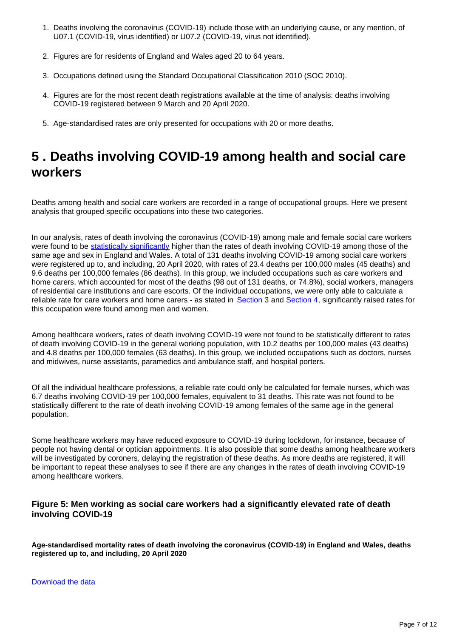- 1. Deaths involving the coronavirus (COVID-19) include those with an underlying cause, or any mention, of U07.1 (COVID-19, virus identified) or U07.2 (COVID-19, virus not identified).
- 2. Figures are for residents of England and Wales aged 20 to 64 years.
- 3. Occupations defined using the Standard Occupational Classification 2010 (SOC 2010).
- 4. Figures are for the most recent death registrations available at the time of analysis: deaths involving COVID-19 registered between 9 March and 20 April 2020.
- 5. Age-standardised rates are only presented for occupations with 20 or more deaths.

## <span id="page-6-0"></span>**5 . Deaths involving COVID-19 among health and social care workers**

Deaths among health and social care workers are recorded in a range of occupational groups. Here we present analysis that grouped specific occupations into these two categories.

In our analysis, rates of death involving the coronavirus (COVID-19) among male and female social care workers were found to be [statistically significantly](https://www.ons.gov.uk/methodology/methodologytopicsandstatisticalconcepts/uncertaintyandhowwemeasureit#statistical-significance) higher than the rates of death involving COVID-19 among those of the same age and sex in England and Wales. A total of 131 deaths involving COVID-19 among social care workers were registered up to, and including, 20 April 2020, with rates of 23.4 deaths per 100,000 males (45 deaths) and 9.6 deaths per 100,000 females (86 deaths). In this group, we included occupations such as care workers and home carers, which accounted for most of the deaths (98 out of 131 deaths, or 74.8%), social workers, managers of residential care institutions and care escorts. Of the individual occupations, we were only able to calculate a reliable rate for care workers and home carers - as stated in [Section 3](https://www.ons.gov.uk/peoplepopulationandcommunity/healthandsocialcare/causesofdeath/bulletins/coronaviruscovid19relateddeathsbyoccupationenglandandwales/deathsregistereduptoandincluding20april2020#men-and-coronavirus-related-deaths-by-occupation) and [Section 4](https://www.ons.gov.uk/peoplepopulationandcommunity/healthandsocialcare/causesofdeath/bulletins/coronaviruscovid19relateddeathsbyoccupationenglandandwales/deathsregistereduptoandincluding20april2020#women-and-coronavirus-related-deaths-by-occupation), significantly raised rates for this occupation were found among men and women.

Among healthcare workers, rates of death involving COVID-19 were not found to be statistically different to rates of death involving COVID-19 in the general working population, with 10.2 deaths per 100,000 males (43 deaths) and 4.8 deaths per 100,000 females (63 deaths). In this group, we included occupations such as doctors, nurses and midwives, nurse assistants, paramedics and ambulance staff, and hospital porters.

Of all the individual healthcare professions, a reliable rate could only be calculated for female nurses, which was 6.7 deaths involving COVID-19 per 100,000 females, equivalent to 31 deaths. This rate was not found to be statistically different to the rate of death involving COVID-19 among females of the same age in the general population.

Some healthcare workers may have reduced exposure to COVID-19 during lockdown, for instance, because of people not having dental or optician appointments. It is also possible that some deaths among healthcare workers will be investigated by coroners, delaying the registration of these deaths. As more deaths are registered, it will be important to repeat these analyses to see if there are any changes in the rates of death involving COVID-19 among healthcare workers.

#### **Figure 5: Men working as social care workers had a significantly elevated rate of death involving COVID-19**

**Age-standardised mortality rates of death involving the coronavirus (COVID-19) in England and Wales, deaths registered up to, and including, 20 April 2020**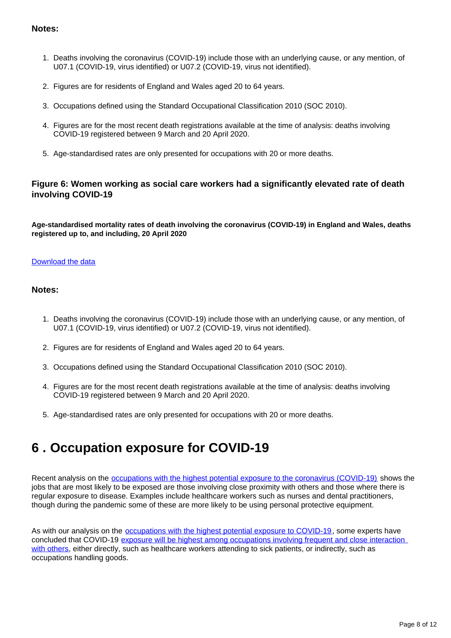#### **Notes:**

- 1. Deaths involving the coronavirus (COVID-19) include those with an underlying cause, or any mention, of U07.1 (COVID-19, virus identified) or U07.2 (COVID-19, virus not identified).
- 2. Figures are for residents of England and Wales aged 20 to 64 years.
- 3. Occupations defined using the Standard Occupational Classification 2010 (SOC 2010).
- 4. Figures are for the most recent death registrations available at the time of analysis: deaths involving COVID-19 registered between 9 March and 20 April 2020.
- 5. Age-standardised rates are only presented for occupations with 20 or more deaths.

#### **Figure 6: Women working as social care workers had a significantly elevated rate of death involving COVID-19**

**Age-standardised mortality rates of death involving the coronavirus (COVID-19) in England and Wales, deaths registered up to, and including, 20 April 2020**

#### [Download the data](https://www.ons.gov.uk/visualisations/dvc814/chart6/datadownload.xlsx)

#### **Notes:**

- 1. Deaths involving the coronavirus (COVID-19) include those with an underlying cause, or any mention, of U07.1 (COVID-19, virus identified) or U07.2 (COVID-19, virus not identified).
- 2. Figures are for residents of England and Wales aged 20 to 64 years.
- 3. Occupations defined using the Standard Occupational Classification 2010 (SOC 2010).
- 4. Figures are for the most recent death registrations available at the time of analysis: deaths involving COVID-19 registered between 9 March and 20 April 2020.
- 5. Age-standardised rates are only presented for occupations with 20 or more deaths.

## <span id="page-7-0"></span>**6 . Occupation exposure for COVID-19**

Recent analysis on the [occupations with the highest potential exposure to the coronavirus \(COVID-19\)](https://www.ons.gov.uk/releases/whichoccupationshavethehighestpotentialexposuretothecoronaviruscovid19) shows the jobs that are most likely to be exposed are those involving close proximity with others and those where there is regular exposure to disease. Examples include healthcare workers such as nurses and dental practitioners, though during the pandemic some of these are more likely to be using personal protective equipment.

As with our analysis on the [occupations with the highest potential exposure to COVID-19,](https://www.ons.gov.uk/releases/whichoccupationshavethehighestpotentialexposuretothecoronaviruscovid19) some experts have concluded that COVID-19 [exposure will be highest among occupations involving frequent and close interaction](https://academic.oup.com/annweh/advance-article/doi/10.1093/annweh/wxaa033/5810996)  [with others,](https://academic.oup.com/annweh/advance-article/doi/10.1093/annweh/wxaa033/5810996) either directly, such as healthcare workers attending to sick patients, or indirectly, such as occupations handling goods.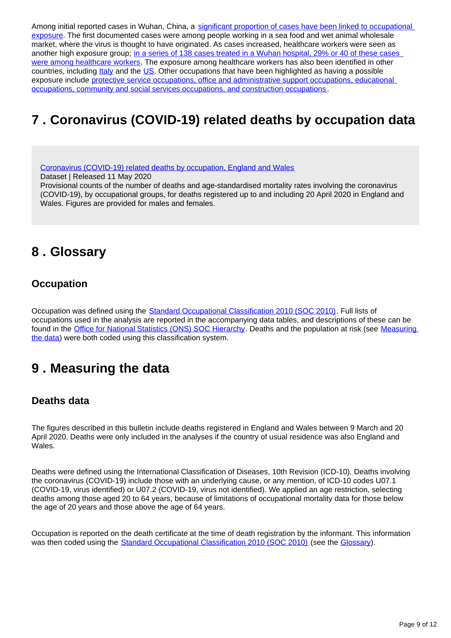Among initial reported cases in Wuhan, China, a significant proportion of cases have been linked to occupational [exposure](https://www.ncbi.nlm.nih.gov/pmc/articles/PMC7107962/pdf/kqaa036.pdf). The first documented cases were among people working in a sea food and wet animal wholesale market, where the virus is thought to have originated. As cases increased, healthcare workers were seen as another high exposure group; [in a series of 138 cases treated in a Wuhan hospital, 29% or 40 of these cases](https://www.ncbi.nlm.nih.gov/pmc/articles/PMC7107962/pdf/kqaa036.pdf)  [were among healthcare workers.](https://www.ncbi.nlm.nih.gov/pmc/articles/PMC7107962/pdf/kqaa036.pdf) The exposure among healthcare workers has also been identified in other countries, including *Italy* and the [US.](https://www.medrxiv.org/content/10.1101/2020.03.02.20030288v1.full.pdf) Other occupations that have been highlighted as having a possible exposure include [protective service occupations, office and administrative support occupations, educational](https://www.medrxiv.org/content/10.1101/2020.03.02.20030288v1.full.pdf)  [occupations, community and social services occupations, and construction occupations.](https://www.medrxiv.org/content/10.1101/2020.03.02.20030288v1.full.pdf)

## <span id="page-8-0"></span>**7 . Coronavirus (COVID-19) related deaths by occupation data**

[Coronavirus \(COVID-19\) related deaths by occupation, England and Wales](https://www.ons.gov.uk/peoplepopulationandcommunity/healthandsocialcare/causesofdeath/datasets/coronaviruscovid19relateddeathsbyoccupationenglandandwales)

Dataset | Released 11 May 2020

Provisional counts of the number of deaths and age-standardised mortality rates involving the coronavirus (COVID-19), by occupational groups, for deaths registered up to and including 20 April 2020 in England and Wales. Figures are provided for males and females.

## <span id="page-8-1"></span>**8 . Glossary**

### **Occupation**

Occupation was defined using the **[Standard Occupational Classification 2010 \(SOC 2010\)](https://www.ons.gov.uk/methodology/classificationsandstandards/standardoccupationalclassificationsoc/soc2010/soc2010volume1structureanddescriptionsofunitgroups)**. Full lists of occupations used in the analysis are reported in the accompanying data tables, and descriptions of these can be found in the [Office for National Statistics \(ONS\) SOC Hierarchy](https://onsdigital.github.io/dp-classification-tools/standard-occupational-classification/ONS_SOC_hierarchy_view.html). Deaths and the population at risk (see Measuring [the data](https://www.ons.gov.uk/peoplepopulationandcommunity/healthandsocialcare/causesofdeath/bulletins/coronaviruscovid19relateddeathsbyoccupationenglandandwales/deathsregistereduptoandincluding20april2020#measuring-the-data)) were both coded using this classification system.

## <span id="page-8-2"></span>**9 . Measuring the data**

### **Deaths data**

The figures described in this bulletin include deaths registered in England and Wales between 9 March and 20 April 2020. Deaths were only included in the analyses if the country of usual residence was also England and Wales.

Deaths were defined using the International Classification of Diseases, 10th Revision (ICD-10). Deaths involving the coronavirus (COVID-19) include those with an underlying cause, or any mention, of ICD-10 codes U07.1 (COVID-19, virus identified) or U07.2 (COVID-19, virus not identified). We applied an age restriction, selecting deaths among those aged 20 to 64 years, because of limitations of occupational mortality data for those below the age of 20 years and those above the age of 64 years.

Occupation is reported on the death certificate at the time of death registration by the informant. This information was then coded using the [Standard Occupational Classification 2010 \(SOC 2010\)](https://www.ons.gov.uk/methodology/classificationsandstandards/standardoccupationalclassificationsoc/soc2010/soc2010volume1structureanddescriptionsofunitgroups) (see the [Glossary\)](https://www.ons.gov.uk/peoplepopulationandcommunity/healthandsocialcare/causesofdeath/bulletins/coronaviruscovid19relateddeathsbyoccupationenglandandwales/deathsregistereduptoandincluding20april2020#glossary).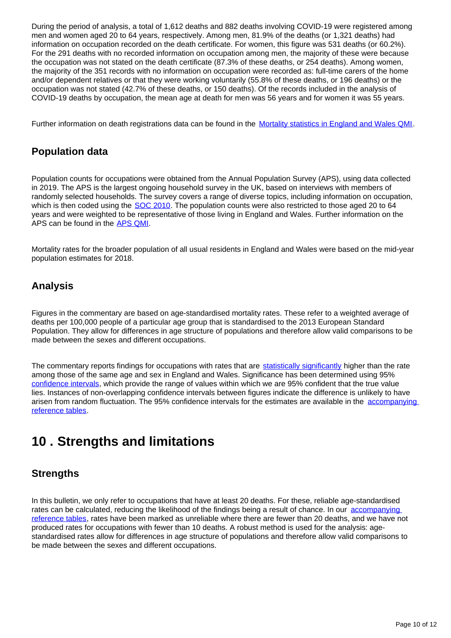During the period of analysis, a total of 1,612 deaths and 882 deaths involving COVID-19 were registered among men and women aged 20 to 64 years, respectively. Among men, 81.9% of the deaths (or 1,321 deaths) had information on occupation recorded on the death certificate. For women, this figure was 531 deaths (or 60.2%). For the 291 deaths with no recorded information on occupation among men, the majority of these were because the occupation was not stated on the death certificate (87.3% of these deaths, or 254 deaths). Among women, the majority of the 351 records with no information on occupation were recorded as: full-time carers of the home and/or dependent relatives or that they were working voluntarily (55.8% of these deaths, or 196 deaths) or the occupation was not stated (42.7% of these deaths, or 150 deaths). Of the records included in the analysis of COVID-19 deaths by occupation, the mean age at death for men was 56 years and for women it was 55 years.

Further information on death registrations data can be found in the [Mortality statistics in England and Wales QMI](https://www.ons.gov.uk/peoplepopulationandcommunity/birthsdeathsandmarriages/deaths/methodologies/mortalitystatisticsinenglandandwalesqmi).

### **Population data**

Population counts for occupations were obtained from the Annual Population Survey (APS), using data collected in 2019. The APS is the largest ongoing household survey in the UK, based on interviews with members of randomly selected households. The survey covers a range of diverse topics, including information on occupation, which is then coded using the [SOC 2010](https://www.ons.gov.uk/methodology/classificationsandstandards/standardoccupationalclassificationsoc/soc2010/soc2010volume1structureanddescriptionsofunitgroups). The population counts were also restricted to those aged 20 to 64 years and were weighted to be representative of those living in England and Wales. Further information on the APS can be found in the [APS QMI](https://www.ons.gov.uk/employmentandlabourmarket/peopleinwork/employmentandemployeetypes/methodologies/annualpopulationsurveyapsqmi).

Mortality rates for the broader population of all usual residents in England and Wales were based on the mid-year population estimates for 2018.

### **Analysis**

Figures in the commentary are based on age-standardised mortality rates. These refer to a weighted average of deaths per 100,000 people of a particular age group that is standardised to the 2013 European Standard Population. They allow for differences in age structure of populations and therefore allow valid comparisons to be made between the sexes and different occupations.

The commentary reports findings for occupations with rates that are [statistically significantly](https://www.ons.gov.uk/methodology/methodologytopicsandstatisticalconcepts/uncertaintyandhowwemeasureit#statistical-significance) higher than the rate among those of the same age and sex in England and Wales. Significance has been determined using 95% [confidence intervals](https://www.ons.gov.uk/methodology/methodologytopicsandstatisticalconcepts/uncertaintyandhowwemeasureit#confidence-interval), which provide the range of values within which we are 95% confident that the true value lies. Instances of non-overlapping confidence intervals between figures indicate the difference is unlikely to have arisen from random fluctuation. The 95% confidence intervals for the estimates are available in the accompanying [reference tables](https://www.ons.gov.uk/peoplepopulationandcommunity/healthandsocialcare/causesofdeath/datasets/coronaviruscovid19relateddeathsbyoccupationenglandandwales).

## <span id="page-9-0"></span>**10 . Strengths and limitations**

### **Strengths**

In this bulletin, we only refer to occupations that have at least 20 deaths. For these, reliable age-standardised rates can be calculated, reducing the likelihood of the findings being a result of chance. In our accompanying [reference tables](https://www.ons.gov.uk/peoplepopulationandcommunity/healthandsocialcare/causesofdeath/datasets/coronaviruscovid19relateddeathsbyoccupationenglandandwales), rates have been marked as unreliable where there are fewer than 20 deaths, and we have not produced rates for occupations with fewer than 10 deaths. A robust method is used for the analysis: agestandardised rates allow for differences in age structure of populations and therefore allow valid comparisons to be made between the sexes and different occupations.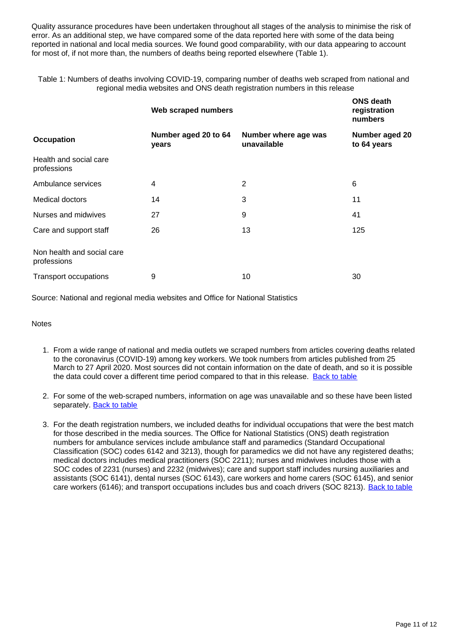Quality assurance procedures have been undertaken throughout all stages of the analysis to minimise the risk of error. As an additional step, we have compared some of the data reported here with some of the data being reported in national and local media sources. We found good comparability, with our data appearing to account for most of, if not more than, the numbers of deaths being reported elsewhere (Table 1).

Table 1: Numbers of deaths involving COVID-19, comparing number of deaths web scraped from national and regional media websites and ONS death registration numbers in this release

|                                           | Web scraped numbers           |                                     | <b>ONS death</b><br>registration<br>numbers |
|-------------------------------------------|-------------------------------|-------------------------------------|---------------------------------------------|
| <b>Occupation</b>                         | Number aged 20 to 64<br>years | Number where age was<br>unavailable | Number aged 20<br>to 64 years               |
| Health and social care<br>professions     |                               |                                     |                                             |
| Ambulance services                        | 4                             | 2                                   | 6                                           |
| Medical doctors                           | 14                            | 3                                   | 11                                          |
| Nurses and midwives                       | 27                            | 9                                   | 41                                          |
| Care and support staff                    | 26                            | 13                                  | 125                                         |
| Non health and social care<br>professions |                               |                                     |                                             |
| <b>Transport occupations</b>              | 9                             | 10                                  | 30                                          |

Source: National and regional media websites and Office for National Statistics

**Notes** 

- 1. From a wide range of national and media outlets we scraped numbers from articles covering deaths related to the coronavirus (COVID-19) among key workers. We took numbers from articles published from 25 March to 27 April 2020. Most sources did not contain information on the date of death, and so it is possible the data could cover a different time period compared to that in this release. [Back to table](#page-0-0)
- 2. For some of the web-scraped numbers, information on age was unavailable and so these have been listed separately. **[Back to table](#page-0-0)**
- 3. For the death registration numbers, we included deaths for individual occupations that were the best match for those described in the media sources. The Office for National Statistics (ONS) death registration numbers for ambulance services include ambulance staff and paramedics (Standard Occupational Classification (SOC) codes 6142 and 3213), though for paramedics we did not have any registered deaths; medical doctors includes medical practitioners (SOC 2211); nurses and midwives includes those with a SOC codes of 2231 (nurses) and 2232 (midwives); care and support staff includes nursing auxiliaries and assistants (SOC 6141), dental nurses (SOC 6143), care workers and home carers (SOC 6145), and senior care workers (6146); and transport occupations includes bus and coach drivers (SOC 8213). [Back to table](#page-0-0)